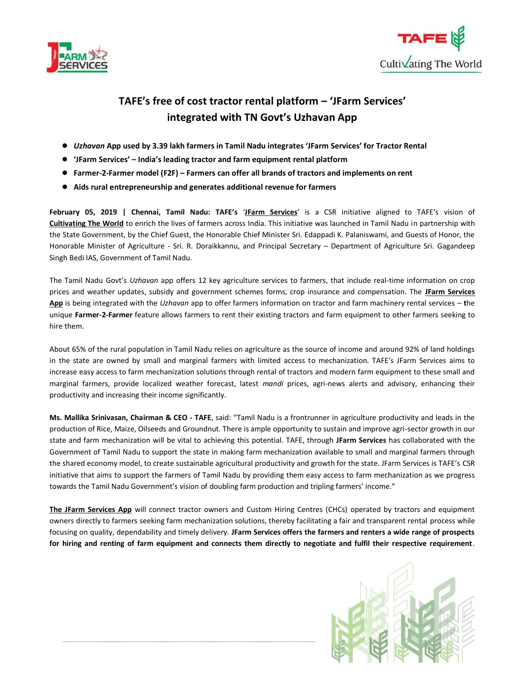



## **TAFE's free of cost tractor rental platform – 'JFarm Services' integrated with TN Govt's Uzhavan App**

- *Uzhavan* **App used by 3.39 lakh farmers in Tamil Nadu integrates 'JFarm Services' for Tractor Rental**
- **'JFarm Services' – India's leading tractor and farm equipment rental platform**
- **Farmer-2-Farmer model (F2F) – Farmers can offer all brands of tractors and implements on rent**
- **Aids rural entrepreneurship and generates additional revenue for farmers**

**February 05, 2019 | Chennai, Tamil Nadu: TAFE's** '**[JFarm Services](http://jfarmservices.in/)**' is a CSR initiative aligned to TAFE's vision of **Cultivating The World** to enrich the lives of farmers across India. This initiative was launched in Tamil Nadu in partnership with the State Government, by the Chief Guest, the Honorable Chief Minister Sri. Edappadi K. Palaniswami, and Guests of Honor, the Honorable Minister of Agriculture - Sri. R. Doraikkannu, and Principal Secretary – Department of Agriculture Sri. Gagandeep Singh Bedi IAS, Government of Tamil Nadu.

The Tamil Nadu Govt's *Uzhavan* app offers 12 key agriculture services to farmers, that include real-time information on crop prices and weather updates, subsidy and government schemes forms, crop insurance and compensation. The **[JFarm Services](https://play.google.com/store/apps/details?id=com.jfs.hiringapp&hl=en_IN)  [App](https://play.google.com/store/apps/details?id=com.jfs.hiringapp&hl=en_IN)** is being integrated with the *Uzhavan* app to offer farmers information on tractor and farm machinery rental services – **t**he unique **Farmer-2-Farmer** feature allows farmers to rent their existing tractors and farm equipment to other farmers seeking to hire them.

About 65% of the rural population in Tamil Nadu relies on agriculture as the source of income and around 92% of land holdings in the state are owned by small and marginal farmers with limited access to mechanization. TAFE's JFarm Services aims to increase easy access to farm mechanization solutions through rental of tractors and modern farm equipment to these small and marginal farmers, provide localized weather forecast, latest *mandi* prices, agri-news alerts and advisory, enhancing their productivity and increasing their income significantly.

**Ms. Mallika Srinivasan, Chairman & CEO - TAFE**, said: "Tamil Nadu is a frontrunner in agriculture productivity and leads in the production of Rice, Maize, Oilseeds and Groundnut. There is ample opportunity to sustain and improve agri-sector growth in our state and farm mechanization will be vital to achieving this potential. TAFE, through **JFarm Services** has collaborated with the Government of Tamil Nadu to support the state in making farm mechanization available to small and marginal farmers through the shared economy model, to create sustainable agricultural productivity and growth for the state. JFarm Services is TAFE's CSR initiative that aims to support the farmers of Tamil Nadu by providing them easy access to farm mechanization as we progress towards the Tamil Nadu Government's vision of doubling farm production and tripling farmers' income."

**[The JFarm Services App](https://play.google.com/store/apps/details?id=com.jfs.hiringapp&hl=en)** will connect tractor owners and Custom Hiring Centres (CHCs) operated by tractors and equipment owners directly to farmers seeking farm mechanization solutions, thereby facilitating a fair and transparent rental process while focusing on quality, dependability and timely delivery. **JFarm Services offers the farmers and renters a wide range of prospects for hiring and renting of farm equipment and connects them directly to negotiate and fulfil their respective requirement**.

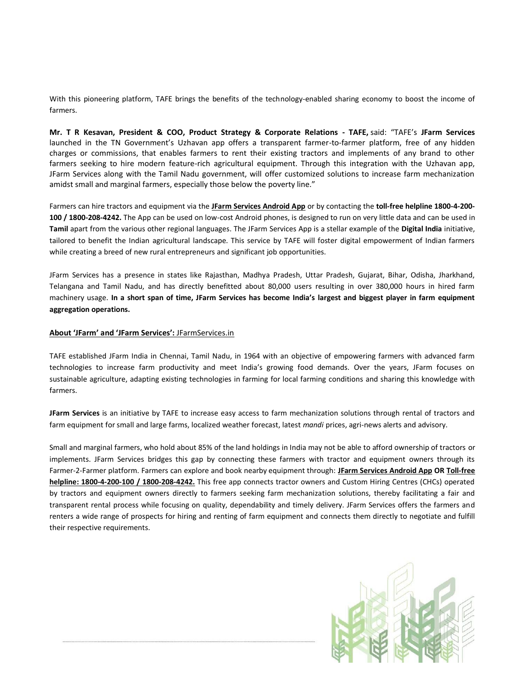With this pioneering platform, TAFE brings the benefits of the technology-enabled sharing economy to boost the income of farmers.

**Mr. T R Kesavan, President & COO, Product Strategy & Corporate Relations - TAFE,** said: "TAFE's **JFarm Services**  launched in the TN Government's Uzhavan app offers a transparent farmer-to-farmer platform, free of any hidden charges or commissions, that enables farmers to rent their existing tractors and implements of any brand to other farmers seeking to hire modern feature-rich agricultural equipment. Through this integration with the Uzhavan app, JFarm Services along with the Tamil Nadu government, will offer customized solutions to increase farm mechanization amidst small and marginal farmers, especially those below the poverty line."

Farmers can hire tractors and equipment via the **[JFarm Services Android App](https://play.google.com/store/apps/details?id=com.jfs.hiringapp&hl=en)** or by contacting the **toll-free helpline 1800-4-200- 100 / 1800-208-4242.** The App can be used on low-cost Android phones, is designed to run on very little data and can be used in **Tamil** apart from the various other regional languages. The JFarm Services App is a stellar example of the **Digital India** initiative, tailored to benefit the Indian agricultural landscape. This service by TAFE will foster digital empowerment of Indian farmers while creating a breed of new rural entrepreneurs and significant job opportunities.

JFarm Services has a presence in states like Rajasthan, Madhya Pradesh, Uttar Pradesh, Gujarat, Bihar, Odisha, Jharkhand, Telangana and Tamil Nadu, and has directly benefitted about 80,000 users resulting in over 380,000 hours in hired farm machinery usage. **In a short span of time, JFarm Services has become India's largest and biggest player in farm equipment aggregation operations.** 

## **About 'JFarm' and 'JFarm Services':** [JFarmServices.in](http://jfarmservices.in/)

TAFE established JFarm India in Chennai, Tamil Nadu, in 1964 with an objective of empowering farmers with advanced farm technologies to increase farm productivity and meet India's growing food demands. Over the years, JFarm focuses on sustainable agriculture, adapting existing technologies in farming for local farming conditions and sharing this knowledge with farmers.

**JFarm Services** is an initiative by TAFE to increase easy access to farm mechanization solutions through rental of tractors and farm equipment for small and large farms, localized weather forecast, latest *mandi* prices, agri-news alerts and advisory.

Small and marginal farmers, who hold about 85% of the land holdings in India may not be able to afford ownership of tractors or implements. JFarm Services bridges this gap by connecting these farmers with tractor and equipment owners through its Farmer-2-Farmer platform. Farmers can explore and book nearby equipment through: **[JFarm Services Android App](https://play.google.com/store/apps/details?id=com.jfs.hiringapp) O[R Toll-free](about:blank)  [helpline: 1800-4-200-100](about:blank) / 1800-208-4242.** This free app connects tractor owners and Custom Hiring Centres (CHCs) operated by tractors and equipment owners directly to farmers seeking farm mechanization solutions, thereby facilitating a fair and transparent rental process while focusing on quality, dependability and timely delivery. JFarm Services offers the farmers and renters a wide range of prospects for hiring and renting of farm equipment and connects them directly to negotiate and fulfill their respective requirements.